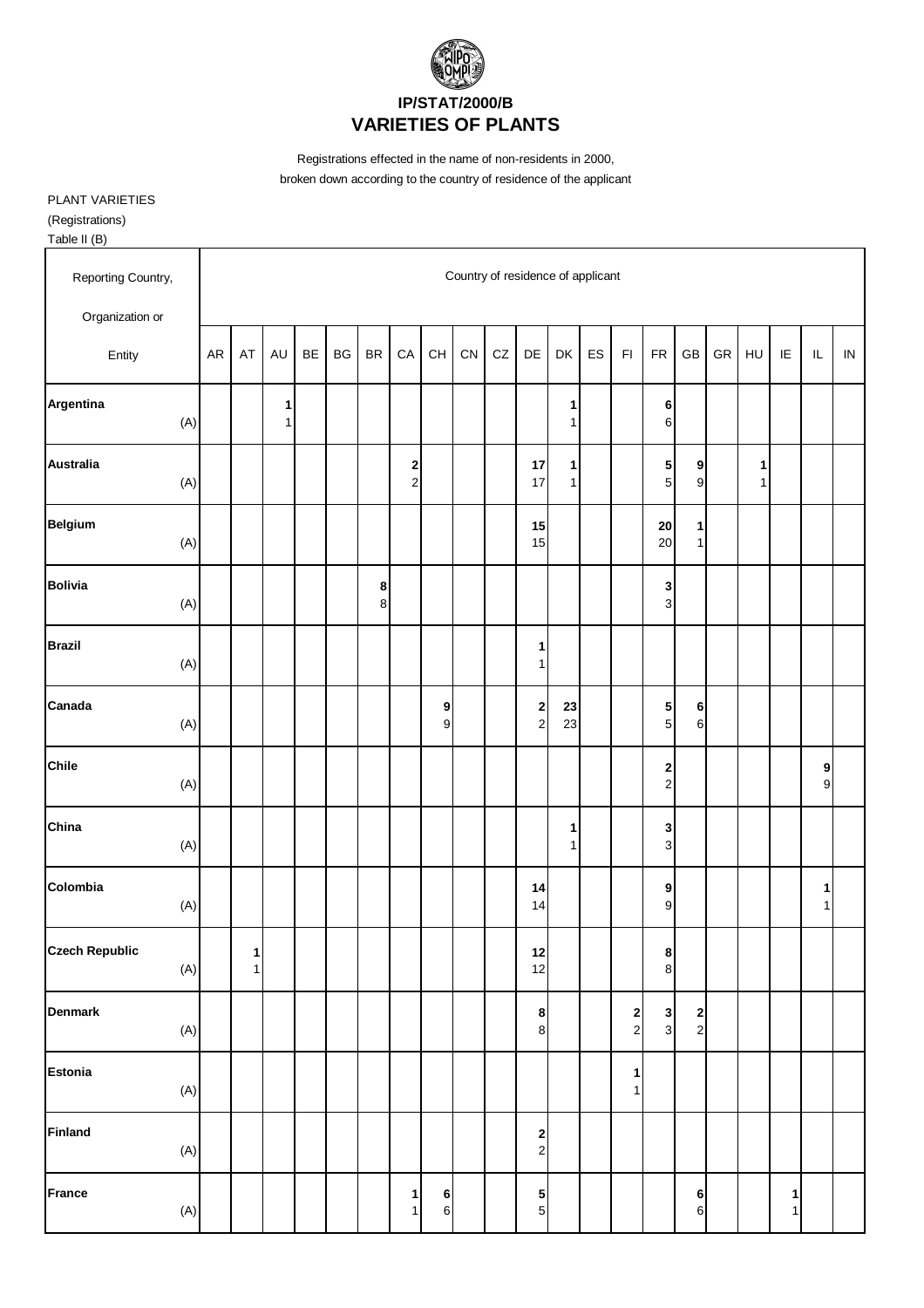

Registrations effected in the name of non-residents in 2000, broken down according to the country of residence of the applicant

PLANT VARIETIES (Registrations)

Table II (B) Reporting Country, The Country of residence of applicant Organization or Entity AR AT AU BE BG BR CA CH CN CZ DE DK ES FI FR GB GR HU IE IL IN **Argentina 1 1 6** (A) 1 1 6 **Australia 2 17 1 5 9 1** (A) | | | | | | | 2 | | | 17 | 1 | | | 5 | 9 | | 1 **Belgium 15 20 1** (A) | | | | | | | | | | 15 | | | 20 1 **Bolivia 8 3**  $(A)$  | | | | | 8 | | | | | | | | 3 **Brazil 1** (A) | | | | | | | | | | | 1 **Canada 9 2 23 5 6** (A) | | | | | | | 9 | | 2 | 23 | | 5 | 6 **Chile 2 9** (A) | | | | | | | | | | | | | | | | | 2 | | | | 9 **China 1 3** (A) | | | | | | | | | | | 1 | | 3 **Colombia 14 9 1** (A) | | | | | | | | | | | 14 | | | 9 | | | | 1 **Czech Republic 1 12 8** (A) | 1 | | | | | | | | | 12 | | | 8 **Denmark 8 2 3 2** (A) | | | | | | | | | | 8 | | 2 | 3 | 2 **Estonia 1** (A) 1 **Finland 2** (A) 2 **France 1 6 5 6 1** (A) | | | | | | 1| 6| | | 5| | | | | 6| | | 1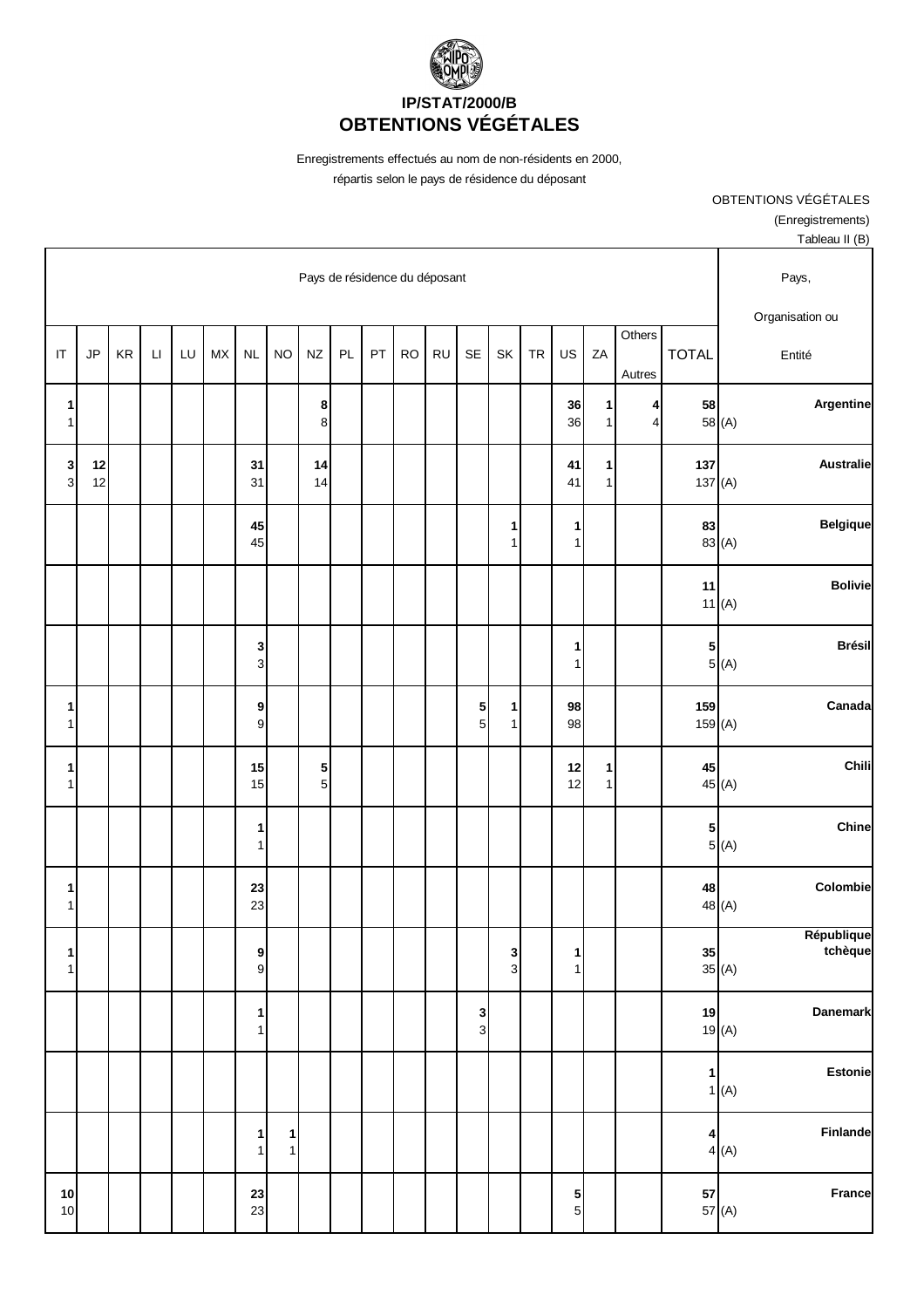

Enregistrements effectués au nom de non-résidents en 2000, répartis selon le pays de résidence du déposant

> OBTENTIONS VÉGÉTALES (Enregistrements) Tableau II (B)

|                                |            | Pays de résidence du déposant |                        |    |           |                              |           |                             |    |    |           |           |        |                                | Pays,     |                   |                   |                     |                  |                                                         |
|--------------------------------|------------|-------------------------------|------------------------|----|-----------|------------------------------|-----------|-----------------------------|----|----|-----------|-----------|--------|--------------------------------|-----------|-------------------|-------------------|---------------------|------------------|---------------------------------------------------------|
| $\mathsf{I}\mathsf{T}$         | JP         | $\mathsf{KR}\xspace$          | $\mathsf{L}\mathsf{I}$ | LU | <b>MX</b> | <b>NL</b>                    | <b>NO</b> | $N\!Z$                      | PL | PT | <b>RO</b> | <b>RU</b> | SE     | SK                             | <b>TR</b> | US                | ZA                | Others<br>Autres    | <b>TOTAL</b>     | Organisation ou<br>Entité                               |
| 1<br>$\mathbf{1}$              |            |                               |                        |    |           |                              |           | 8<br>8                      |    |    |           |           |        |                                |           | 36<br>36          | 1<br>1            | 4<br>$\overline{4}$ | 58               | Argentine<br>58 (A)                                     |
| $\mathbf{3}$<br>$\overline{3}$ | $12$<br>12 |                               |                        |    |           | 31<br>31                     |           | 14<br>14                    |    |    |           |           |        |                                |           | 41<br>41          | 1<br>$\mathbf{1}$ |                     | 137<br>137 $(A)$ | <b>Australie</b>                                        |
|                                |            |                               |                        |    |           | 45<br>45                     |           |                             |    |    |           |           |        | 1<br>$\mathbf{1}$              |           | 1<br>$\mathbf{1}$ |                   |                     | 83               | <b>Belgique</b><br>83 (A)                               |
|                                |            |                               |                        |    |           |                              |           |                             |    |    |           |           |        |                                |           |                   |                   |                     | 11               | <b>Bolivie</b><br>11(A)                                 |
|                                |            |                               |                        |    |           | 3<br>3                       |           |                             |    |    |           |           |        |                                |           | 1<br>$\mathbf{1}$ |                   |                     | 5                | <b>Brésil</b><br>5(A)                                   |
| 1<br>1                         |            |                               |                        |    |           | $\boldsymbol{9}$<br>9        |           |                             |    |    |           |           | 5<br>5 | $\mathbf{1}$<br>1              |           | 98<br>98          |                   |                     | 159<br>159(A)    | Canada                                                  |
| 1<br>1                         |            |                               |                        |    |           | 15<br>15                     |           | ${\bf 5}$<br>$\overline{5}$ |    |    |           |           |        |                                |           | 12<br>12          | 1<br>1            |                     | 45               | Chili<br>45 (A)                                         |
|                                |            |                               |                        |    |           | 1<br>$\mathbf{1}$            |           |                             |    |    |           |           |        |                                |           |                   |                   |                     | 5                | Chine<br>5(A)                                           |
| 1<br>1                         |            |                               |                        |    |           | 23<br>23                     |           |                             |    |    |           |           |        |                                |           |                   |                   |                     | 48               | Colombie<br>48 (A)                                      |
| 1 <br>1                        |            |                               |                        |    |           | 9<br>$\mathsf g$             |           |                             |    |    |           |           |        | $\mathbf{3}$<br>3 <sup>1</sup> |           | 1<br>1            |                   |                     |                  | République<br>tchèque<br>35<br>$35$ (A)                 |
|                                |            |                               |                        |    |           | 1<br>$\mathbf{1}$            |           |                             |    |    |           |           | 3<br>3 |                                |           |                   |                   |                     | 19               | Danemark<br>19(A)                                       |
|                                |            |                               |                        |    |           |                              |           |                             |    |    |           |           |        |                                |           |                   |                   |                     | $\mathbf{1}$     | <b>Estonie</b><br>1(A)                                  |
|                                |            |                               |                        |    |           | $\mathbf{1}$<br>$\mathbf{1}$ | 1<br>1    |                             |    |    |           |           |        |                                |           |                   |                   |                     |                  | Finlande<br>$\begin{bmatrix} 4 \\ 4 \\ 4 \end{bmatrix}$ |
| 10<br>10                       |            |                               |                        |    |           | 23<br>23                     |           |                             |    |    |           |           |        |                                |           | $\frac{5}{5}$     |                   |                     |                  | France<br>57<br>57 (A)                                  |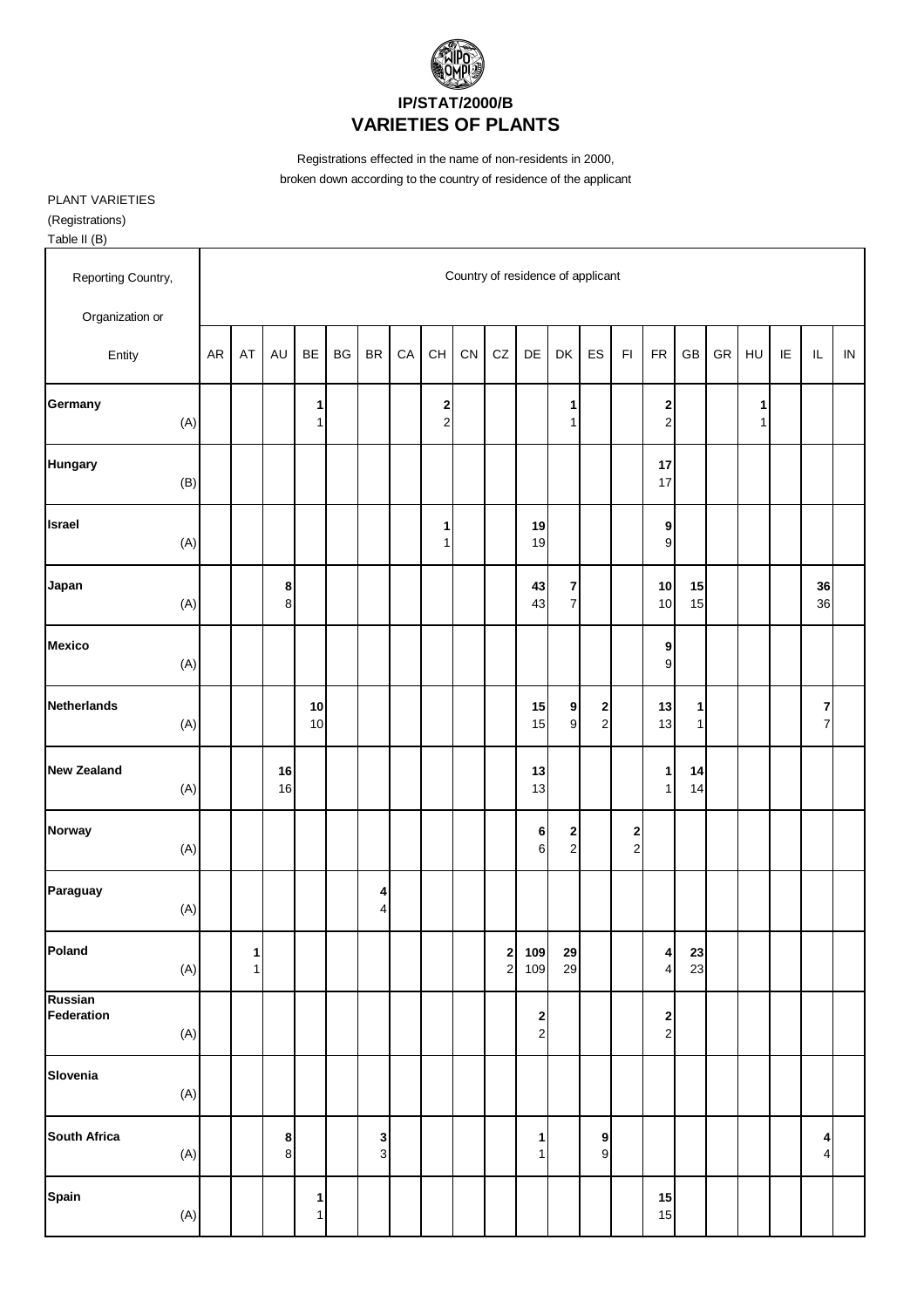

Registrations effected in the name of non-residents in 2000, broken down according to the country of residence of the applicant

PLANT VARIETIES (Registrations) Table II (B)

Reporting Country, The Country of residence of applicant Organization or Entity AR AT AU BE BG BR CA CH CN CZ DE DK ES FI FR GB GR HU IE IL IN **Germany 1 2 1 2 1** (A) | | | 1 | | | | 2 | | | 1 | | | | | 2 | | | 1 **Hungary 17** (B) | | | | | | | | | | | | | | 17 **Israel 1 19 9** (A) | | | | | | | 1 | | 19 | | | 9 **Japan 8 43 7 10 15 36** (A) | | 8 | | | | | | | | | 43 | 7 | | | 10 | 15 | | | | 36 **Mexico 9** (A) | | | | | | | | | | | | | 9 **Netherlands 10 15 9 2 13 1 7** (A) | | | 10 | | | | | | | 15 | 9 | 2 | | 13 | 1 | | | | | 7 **New Zealand 16 13 1 14** (A) | | 16 | | | | | | | | 13 | | | | 1| 14 **Norway 6 2 2** (A) | | | | | | | | | | 6 2 | 2 **Paraguay** (A)  $\begin{bmatrix} |A| \ 4 \end{bmatrix}$  **4**  $(A)$  4 **Poland 1 2 109 29 4 23** (A) | 1 | | | | | | | | | | | | 2 | 109 | 29 | | | | | | | 23 **Russian Federation 2 2** (A) | | | | | | | | | | | 2 | | | 2 **Slovenia** (A) **South Africa 8 3 1 9 4** (A) | | 8 | | 3 | | | | 1 | 9 | | | | | 4 **Spain 1 15** (A) | | 1 | | | | | | | | | | 15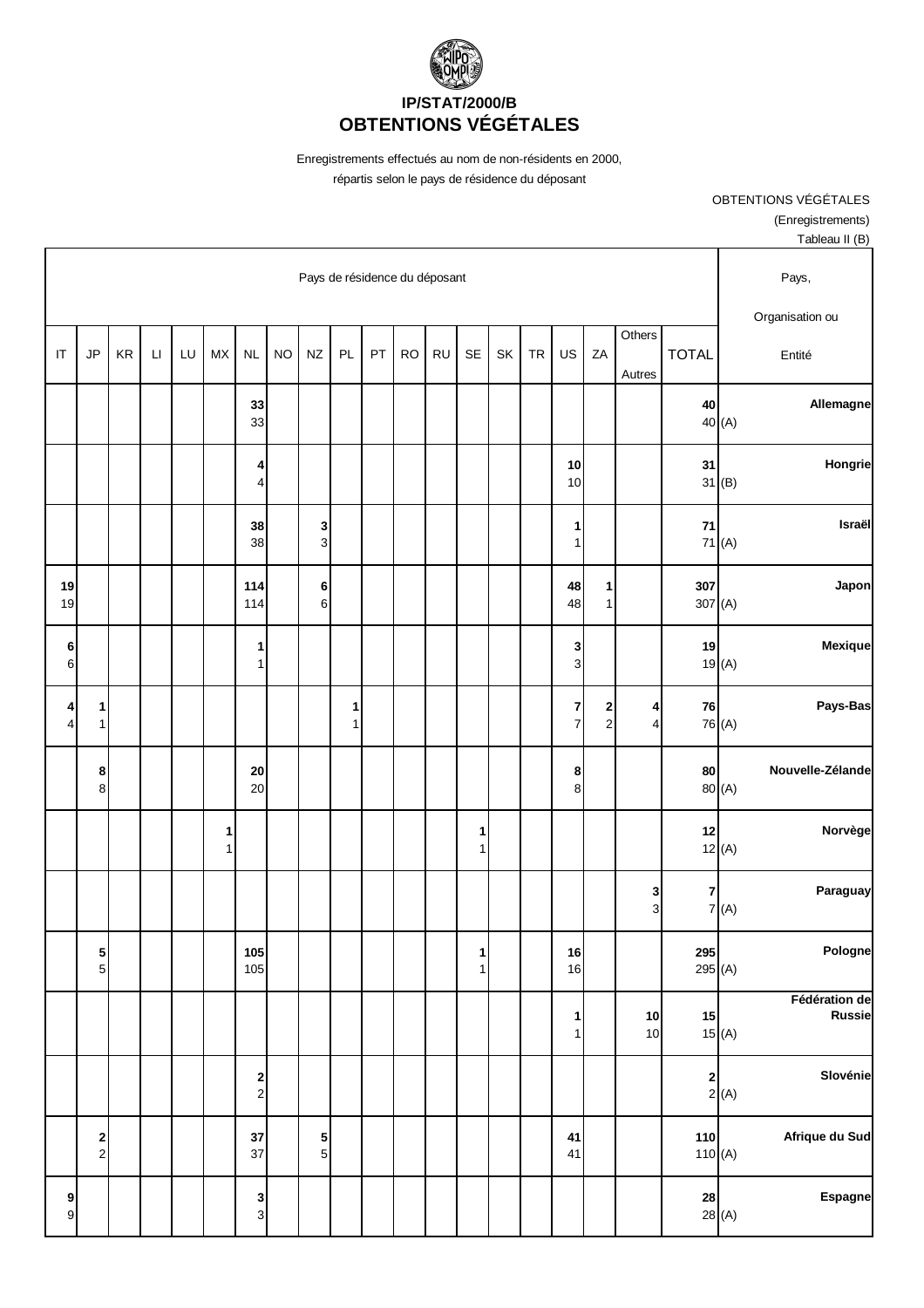

Enregistrements effectués au nom de non-résidents en 2000, répartis selon le pays de résidence du déposant

> OBTENTIONS VÉGÉTALES (Enregistrements) Tableau II (B)

|                                           |                                          |    | Pays de résidence du déposant |    |                   |                                    |           |                  |        |    |           |           |                   |    |           | Pays,                          |                   |                     |                  |                                            |                                |
|-------------------------------------------|------------------------------------------|----|-------------------------------|----|-------------------|------------------------------------|-----------|------------------|--------|----|-----------|-----------|-------------------|----|-----------|--------------------------------|-------------------|---------------------|------------------|--------------------------------------------|--------------------------------|
|                                           |                                          |    |                               |    |                   |                                    |           |                  |        |    |           |           |                   |    |           |                                |                   | Others              |                  |                                            | Organisation ou                |
| $\mathsf{I}\mathsf{T}$                    | JP                                       | KR | $\mathsf{L}\mathsf{I}$        | LU | <b>MX</b>         | <b>NL</b>                          | <b>NO</b> | NZ               | PL     | PT | <b>RO</b> | <b>RU</b> | <b>SE</b>         | SK | <b>TR</b> | US                             | ZA                | Autres              | <b>TOTAL</b>     |                                            | Entité                         |
|                                           |                                          |    |                               |    |                   | 33<br>33                           |           |                  |        |    |           |           |                   |    |           |                                |                   |                     | 40               | 40 (A)                                     | Allemagne                      |
|                                           |                                          |    |                               |    |                   | 4<br>4                             |           |                  |        |    |           |           |                   |    |           | 10<br>10                       |                   |                     | 31               | 31(B)                                      | Hongrie                        |
|                                           |                                          |    |                               |    |                   | 38<br>38                           |           | 3<br>$\mathsf 3$ |        |    |           |           |                   |    |           | $\mathbf{1}$<br>1 <sup>1</sup> |                   |                     | ${\bf 71}$       | 71(A)                                      | Israël                         |
| 19<br>19                                  |                                          |    |                               |    |                   | 114<br>114                         |           | 6<br>$\,6$       |        |    |           |           |                   |    |           | 48<br>48                       | 1<br>$\mathbf{1}$ |                     | 307<br>307(A)    |                                            | Japon                          |
| 6<br>$6\phantom{.}6$                      |                                          |    |                               |    |                   | 1<br>$\mathbf{1}$                  |           |                  |        |    |           |           |                   |    |           | 3<br>$\overline{3}$            |                   |                     | 19               | 19(A)                                      | Mexique                        |
| $\overline{\mathbf{r}}$<br>$\overline{4}$ | 1<br>$\mathbf{1}$                        |    |                               |    |                   |                                    |           |                  | 1<br>1 |    |           |           |                   |    |           | $\overline{7}$<br>$\mathbf{z}$ | 2<br>$\mathbf 2$  | 4<br>4              | 76               | 76 (A)                                     | Pays-Bas                       |
|                                           | 8<br>8                                   |    |                               |    |                   | ${\bf 20}$<br>20                   |           |                  |        |    |           |           |                   |    |           | $\boldsymbol{8}$<br>$\bf 8$    |                   |                     | 80               | 80 (A)                                     | Nouvelle-Zélande               |
|                                           |                                          |    |                               |    | 1<br>$\mathbf{1}$ |                                    |           |                  |        |    |           |           | 1<br>$\mathbf{1}$ |    |           |                                |                   |                     | 12               | 12(A)                                      | Norvège                        |
|                                           |                                          |    |                               |    |                   |                                    |           |                  |        |    |           |           |                   |    |           |                                |                   | 3<br>$\overline{3}$ | $\overline{7}$   | 7(A)                                       | Paraguay                       |
|                                           | 5<br>$\overline{5}$                      |    |                               |    |                   | 105<br>105                         |           |                  |        |    |           |           | $\mathbf{1}$<br>1 |    |           | 16<br>16                       |                   |                     | 295<br>295 $(A)$ |                                            | Pologne                        |
|                                           |                                          |    |                               |    |                   |                                    |           |                  |        |    |           |           |                   |    |           | $\mathbf{1}$<br>1              |                   | 10<br>10            | 15               | 15(A)                                      | Fédération de<br><b>Russie</b> |
|                                           |                                          |    |                               |    |                   | $\begin{array}{c} \n2 \end{array}$ |           |                  |        |    |           |           |                   |    |           |                                |                   |                     |                  | $\begin{bmatrix} 2 \\ 2 \end{bmatrix}$ (A) | Slovénie                       |
|                                           | $\begin{array}{c} \n2 \\ 2\n\end{array}$ |    |                               |    |                   | 37<br>37                           |           | $\frac{5}{5}$    |        |    |           |           |                   |    |           | 41<br>41                       |                   |                     | 110<br>110 $(A)$ |                                            | Afrique du Sud                 |
| $\overline{9}$<br>$\overline{9}$          |                                          |    |                               |    |                   | $\frac{3}{3}$                      |           |                  |        |    |           |           |                   |    |           |                                |                   |                     | 28               | 28(A)                                      | Espagne                        |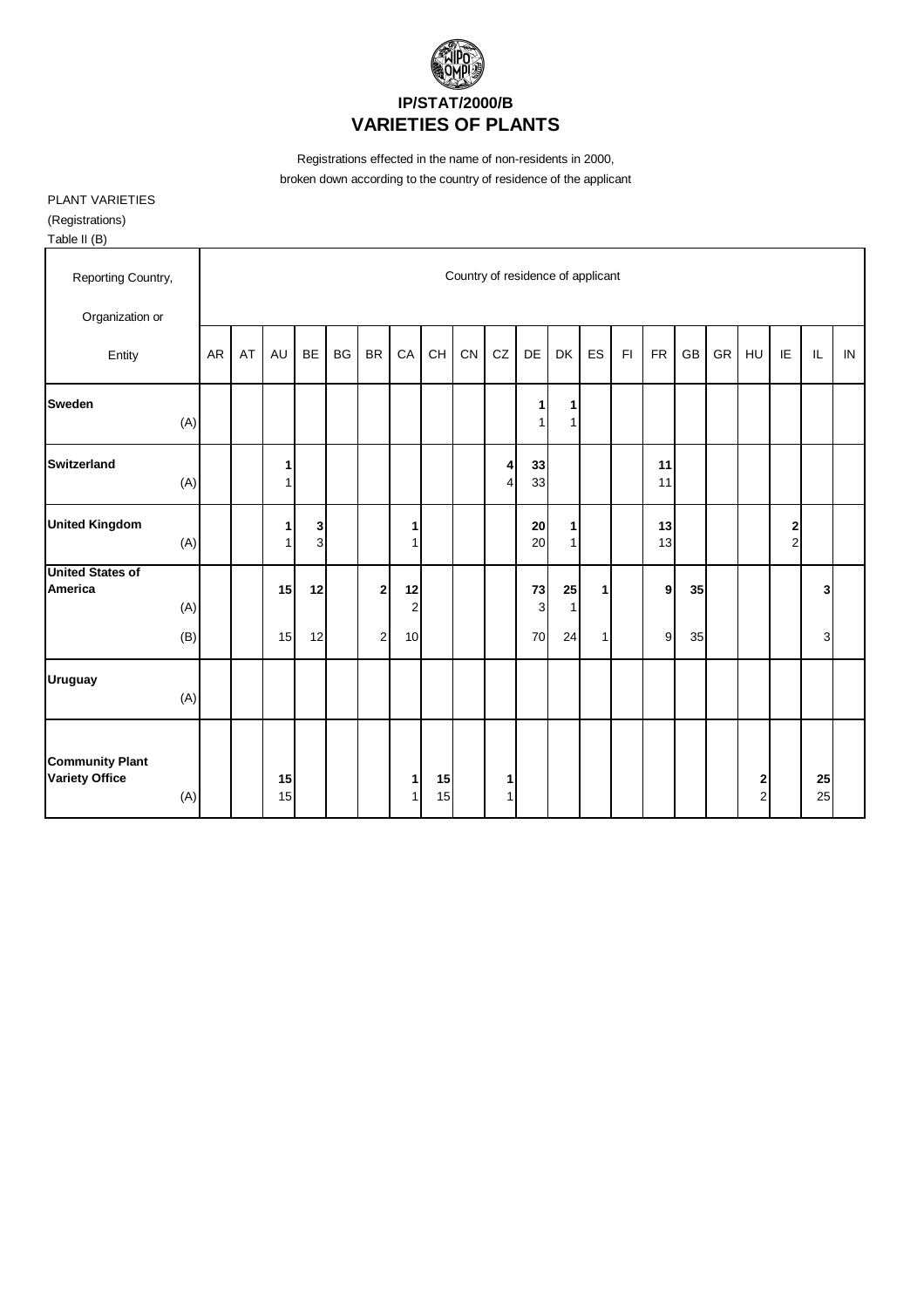

Registrations effected in the name of non-residents in 2000, broken down according to the country of residence of the applicant

PLANT VARIETIES (Registrations) Table II (B)

| 1001011                                                |                                   |    |                   |           |           |                |                      |          |    |                     |                    |                   |    |    |           |    |    |        |                     |          |    |
|--------------------------------------------------------|-----------------------------------|----|-------------------|-----------|-----------|----------------|----------------------|----------|----|---------------------|--------------------|-------------------|----|----|-----------|----|----|--------|---------------------|----------|----|
| Reporting Country,                                     | Country of residence of applicant |    |                   |           |           |                |                      |          |    |                     |                    |                   |    |    |           |    |    |        |                     |          |    |
| Organization or                                        |                                   |    |                   |           |           |                |                      |          |    |                     |                    |                   |    |    |           |    |    |        |                     |          |    |
| Entity                                                 | <b>AR</b>                         | AT | <b>AU</b>         | <b>BE</b> | <b>BG</b> | <b>BR</b>      | CA                   | CH       | CN | CZ                  | DE                 | DK                | ES | F1 | <b>FR</b> | GB | GR | HU     | IE                  | IL       | IN |
| <b>Sweden</b><br>(A)                                   |                                   |    |                   |           |           |                |                      |          |    |                     | 1<br>1             | 1<br>1            |    |    |           |    |    |        |                     |          |    |
| <b>Switzerland</b><br>(A)                              |                                   |    | 1<br>1            |           |           |                |                      |          |    | $\overline{4}$<br>4 | 33<br>33           |                   |    |    | 11<br>11  |    |    |        |                     |          |    |
| <b>United Kingdom</b><br>(A)                           |                                   |    | $\mathbf{1}$<br>1 | 3<br>3    |           |                | 1<br>1               |          |    |                     | 20<br>20           | 1<br>$\mathbf{1}$ |    |    | 13<br>13  |    |    |        | 2<br>$\overline{2}$ |          |    |
| <b>United States of</b><br>America<br>(A)              |                                   |    | 15                | 12        |           | $\overline{2}$ | 12<br>$\overline{2}$ |          |    |                     | 73<br>$\mathbf{3}$ | 25<br>1           | 1  |    | 9         | 35 |    |        |                     | 3        |    |
| (B)                                                    |                                   |    | 15                | 12        |           | $\overline{c}$ | 10                   |          |    |                     | 70                 | 24                | 1  |    | 9         | 35 |    |        |                     | 3        |    |
| <b>Uruguay</b><br>(A)                                  |                                   |    |                   |           |           |                |                      |          |    |                     |                    |                   |    |    |           |    |    |        |                     |          |    |
| <b>Community Plant</b><br><b>Variety Office</b><br>(A) |                                   |    | 15<br>15          |           |           |                | 1<br>1               | 15<br>15 |    | 1<br>1              |                    |                   |    |    |           |    |    | 2<br>2 |                     | 25<br>25 |    |